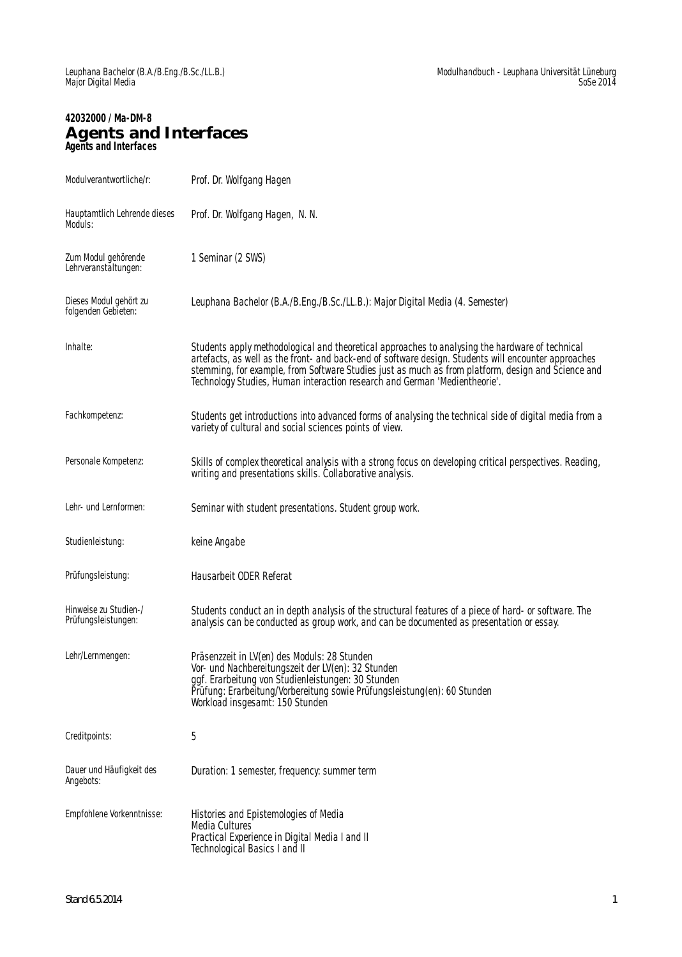# **42032000 / Ma-DM-8 Agents and Interfaces Agents and Interfaces**

| Modulverantwortliche/r:                       | Prof. Dr. Wolfgang Hagen                                                                                                                                                                                                                                                                                                                                                                    |
|-----------------------------------------------|---------------------------------------------------------------------------------------------------------------------------------------------------------------------------------------------------------------------------------------------------------------------------------------------------------------------------------------------------------------------------------------------|
| Hauptamtlich Lehrende dieses<br>Moduls:       | Prof. Dr. Wolfgang Hagen, N. N.                                                                                                                                                                                                                                                                                                                                                             |
| Zum Modul gehörende<br>Lehrveranstältungen:   | 1 Seminar (2 SWS)                                                                                                                                                                                                                                                                                                                                                                           |
| Dieses Modul gehört zu<br>folgenden Gebieten: | Leuphana Bachelor (B.A./B.Eng./B.Sc./LL.B.): Major Digital Media (4. Semester)                                                                                                                                                                                                                                                                                                              |
| Inhalte:                                      | Students apply methodological and theoretical approaches to analysing the hardware of technical<br>artefacts, as well as the front- and back-end of software design. Students will encounter approaches<br>stemming, for example, from Software Studies just as much as from platform, design and Science and<br>Technology Studies, Human interaction research and German 'Medientheorie'. |
| Fachkompetenz:                                | Students get introductions into advanced forms of analysing the technical side of digital media from a<br>variety of cultural and social sciences points of view.                                                                                                                                                                                                                           |
| Personale Kompetenz:                          | Skills of complex theoretical analysis with a strong focus on developing critical perspectives. Reading,<br>writing and presentations skills. Collaborative analysis.                                                                                                                                                                                                                       |
| Lehr- und Lernformen:                         | Seminar with student presentations. Student group work.                                                                                                                                                                                                                                                                                                                                     |
| Studienleistung:                              | keine Angabe                                                                                                                                                                                                                                                                                                                                                                                |
| Prüfungsleistung:                             | Hausarbeit ODER Referat                                                                                                                                                                                                                                                                                                                                                                     |
| Hinweise zu Studien-/<br>Prüfungsleistungen:  | Students conduct an in depth analysis of the structural features of a piece of hard- or software. The<br>analysis can be conducted as group work, and can be documented as presentation or essay.                                                                                                                                                                                           |
| Lehr/Lernmengen:                              | Präsenzzeit in LV(en) des Moduls: 28 Stunden<br>Vor- und Nachbereitungszeit der LV(en): 32 Stunden<br>ggf. Erarbeitung von Studienleistungen: 30 Stunden<br>Prüfung: Erarbeitung/Vorbereitung sowie Prüfungsleistung(en): 60 Stunden<br>Workload insgesamt: 150 Stunden                                                                                                                     |
| Creditpoints:                                 | 5                                                                                                                                                                                                                                                                                                                                                                                           |
| Dauer und Häufigkeit des<br>Angebots:         | Duration: 1 semester, frequency: summer term                                                                                                                                                                                                                                                                                                                                                |
| Empfohlene Vorkenntnisse:                     | Histories and Epistemologies of Media<br><b>Media Cultures</b><br>Practical Experience in Digital Media I and II<br>Technological Basics I and II                                                                                                                                                                                                                                           |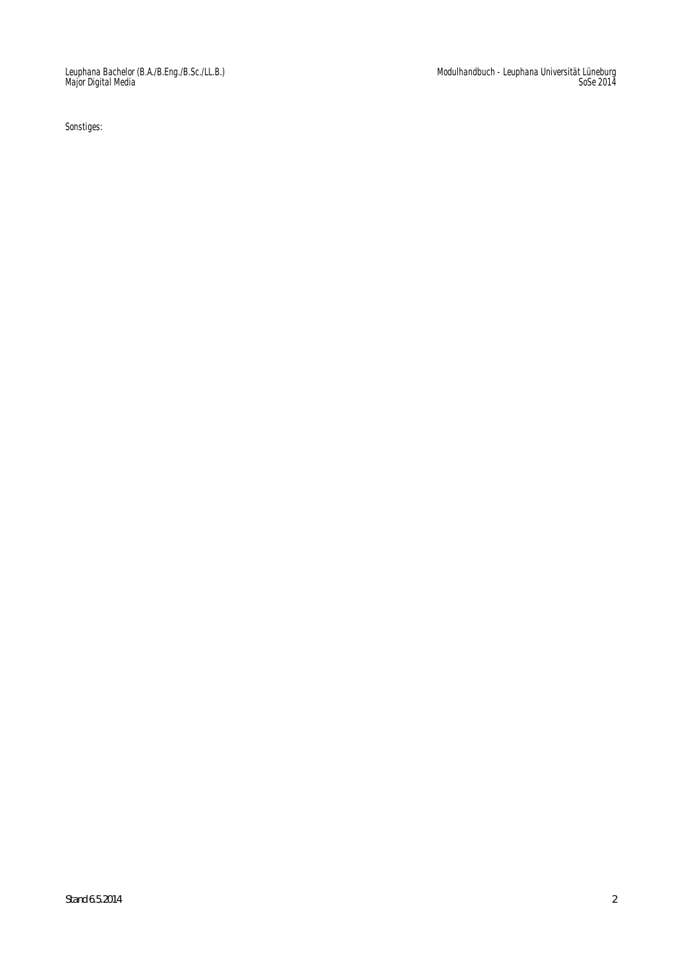Sonstiges:

Modulhandbuch - Leuphana Universität Lüneburg SoSe 2014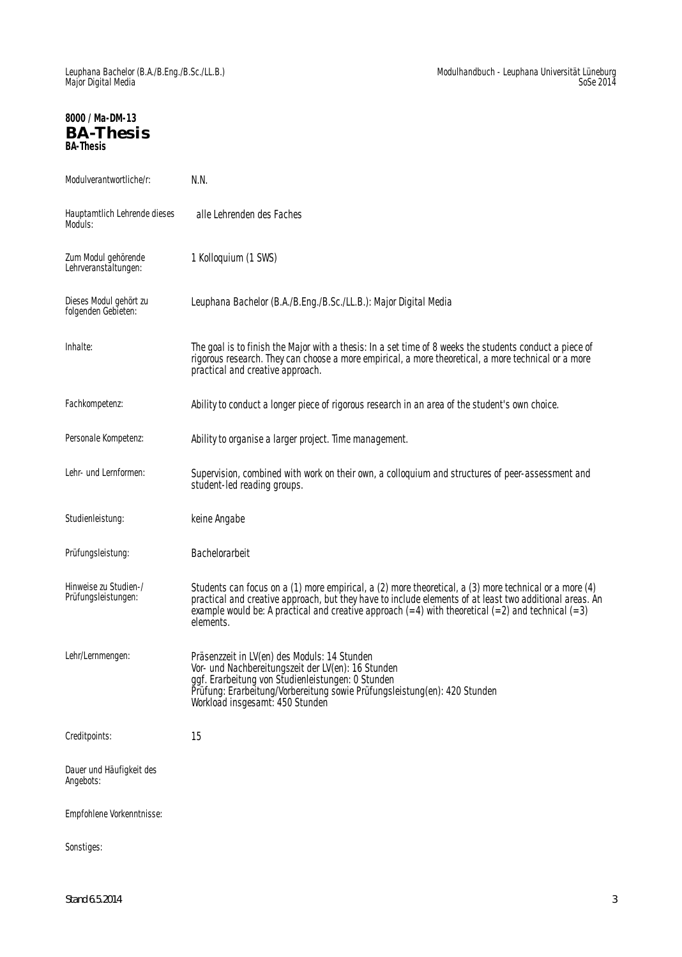## **8000 / Ma-DM-13 BA-Thesis BA-Thesis**

| Modulverantwortliche/r:                       | N.N.                                                                                                                                                                                                                                                                                                                                      |
|-----------------------------------------------|-------------------------------------------------------------------------------------------------------------------------------------------------------------------------------------------------------------------------------------------------------------------------------------------------------------------------------------------|
| Hauptamtlich Lehrende dieses<br>Moduls:       | alle Lehrenden des Faches                                                                                                                                                                                                                                                                                                                 |
| Zum Modul gehörende<br>Lehrveranstältungen:   | 1 Kolloquium (1 SWS)                                                                                                                                                                                                                                                                                                                      |
| Dieses Modul gehört zu<br>folgenden Gebieten: | Leuphana Bachelor (B.A./B.Eng./B.Sc./LL.B.): Major Digital Media                                                                                                                                                                                                                                                                          |
| Inhalte:                                      | The goal is to finish the Major with a thesis: In a set time of 8 weeks the students conduct a piece of<br>rigorous research. They can choose a more empirical, a more theoretical, a more technical or a more<br>practical and creative approach.                                                                                        |
| Fachkompetenz:                                | Ability to conduct a longer piece of rigorous research in an area of the student's own choice.                                                                                                                                                                                                                                            |
| Personale Kompetenz:                          | Ability to organise a larger project. Time management.                                                                                                                                                                                                                                                                                    |
| Lehr- und Lernformen:                         | Supervision, combined with work on their own, a colloquium and structures of peer-assessment and<br>student-led reading groups.                                                                                                                                                                                                           |
| Studienleistung:                              | keine Angabe                                                                                                                                                                                                                                                                                                                              |
| Prüfungsleistung:                             | Bachelorarbeit                                                                                                                                                                                                                                                                                                                            |
| Hinweise zu Studien-/<br>Prüfungsleistungen:  | Students can focus on a (1) more empirical, a (2) more theoretical, a (3) more technical or a more (4)<br>practical and creative approach, but they have to include elements of at least two additional areas. An<br>example would be: A practical and creative approach $(=4)$ with theoretical $(=2)$ and technical $(=3)$<br>elements. |
| Lehr/Lernmengen:                              | Präsenzzeit in LV(en) des Moduls: 14 Stunden<br>Vor- und Nachbereitungszeit der LV(en): 16 Stunden<br>ggf. Erarbeitung von Studienleistungen: 0 Stunden<br>Prüfung: Erarbeitung/Vorbereitung sowie Prüfungsleistung(en): 420 Stunden<br>Workload insgesamt: 450 Stunden                                                                   |
| Creditpoints:                                 | 15                                                                                                                                                                                                                                                                                                                                        |
| Dauer und Häufigkeit des<br>Angebots:         |                                                                                                                                                                                                                                                                                                                                           |
| Empfohlene Vorkenntnisse:                     |                                                                                                                                                                                                                                                                                                                                           |
| Sonstiges:                                    |                                                                                                                                                                                                                                                                                                                                           |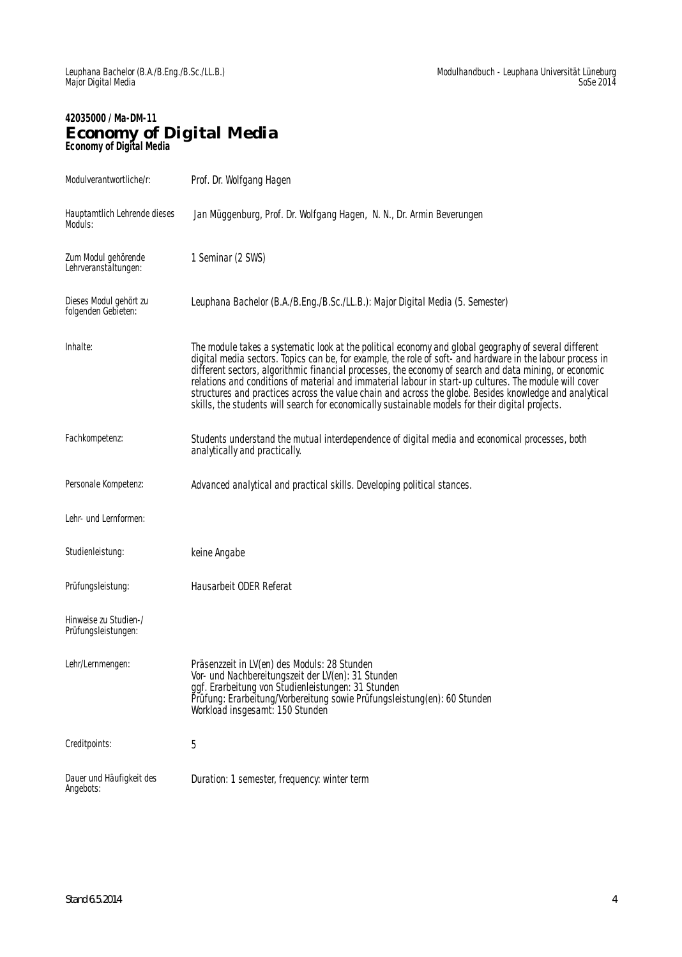### **42035000 / Ma-DM-11 Economy of Digital Media Economy of Digital Media**

| Modulverantwortliche/r:                       | Prof. Dr. Wolfgang Hagen                                                                                                                                                                                                                                                                                                                                                                                                                                                                                                                                                                                                                              |
|-----------------------------------------------|-------------------------------------------------------------------------------------------------------------------------------------------------------------------------------------------------------------------------------------------------------------------------------------------------------------------------------------------------------------------------------------------------------------------------------------------------------------------------------------------------------------------------------------------------------------------------------------------------------------------------------------------------------|
| Hauptamtlich Lehrende dieses<br>Moduls:       | Jan Müggenburg, Prof. Dr. Wolfgang Hagen, N. N., Dr. Armin Beverungen                                                                                                                                                                                                                                                                                                                                                                                                                                                                                                                                                                                 |
| Zum Modul gehörende<br>Lehrveranstältungen:   | 1 Seminar (2 SWS)                                                                                                                                                                                                                                                                                                                                                                                                                                                                                                                                                                                                                                     |
| Dieses Modul gehört zu<br>folgenden Gebieten: | Leuphana Bachelor (B.A./B.Eng./B.Sc./LL.B.): Major Digital Media (5. Semester)                                                                                                                                                                                                                                                                                                                                                                                                                                                                                                                                                                        |
| Inhalte:                                      | The module takes a systematic look at the political economy and global geography of several different<br>digital media sectors. Topics can be, for example, the role of soft- and hardware in the labour process in<br>different sectors, algorithmic financial processes, the economy of search and data mining, or economic<br>relations and conditions of material and immaterial labour in start-up cultures. The module will cover<br>structures and practices across the value chain and across the globe. Besides knowledge and analytical<br>skills, the students will search for economically sustainable models for their digital projects. |
| Fachkompetenz:                                | Students understand the mutual interdependence of digital media and economical processes, both<br>analytically and practically.                                                                                                                                                                                                                                                                                                                                                                                                                                                                                                                       |
| Personale Kompetenz:                          | Advanced analytical and practical skills. Developing political stances.                                                                                                                                                                                                                                                                                                                                                                                                                                                                                                                                                                               |
| Lehr- und Lernformen:                         |                                                                                                                                                                                                                                                                                                                                                                                                                                                                                                                                                                                                                                                       |
| Studienleistung:                              | keine Angabe                                                                                                                                                                                                                                                                                                                                                                                                                                                                                                                                                                                                                                          |
| Prüfungsleistung:                             | Hausarbeit ODER Referat                                                                                                                                                                                                                                                                                                                                                                                                                                                                                                                                                                                                                               |
| Hinweise zu Studien-/<br>Prüfungsleistungen:  |                                                                                                                                                                                                                                                                                                                                                                                                                                                                                                                                                                                                                                                       |
| Lehr/Lernmengen:                              | Präsenzzeit in LV(en) des Moduls: 28 Stunden<br>Vor- und Nachbereitungszeit der LV(en): 31 Stunden<br>ggf. Erarbeitung von Studienleistungen: 31 Stunden<br>Prüfung: Erarbeitung/Vorbereitung sowie Prüfungsleistung(en): 60 Stunden<br>Workload insgesamt: 150 Stunden                                                                                                                                                                                                                                                                                                                                                                               |
| Creditpoints:                                 | 5                                                                                                                                                                                                                                                                                                                                                                                                                                                                                                                                                                                                                                                     |
| Dauer und Häufigkeit des<br>Angebots:         | Duration: 1 semester, frequency: winter term                                                                                                                                                                                                                                                                                                                                                                                                                                                                                                                                                                                                          |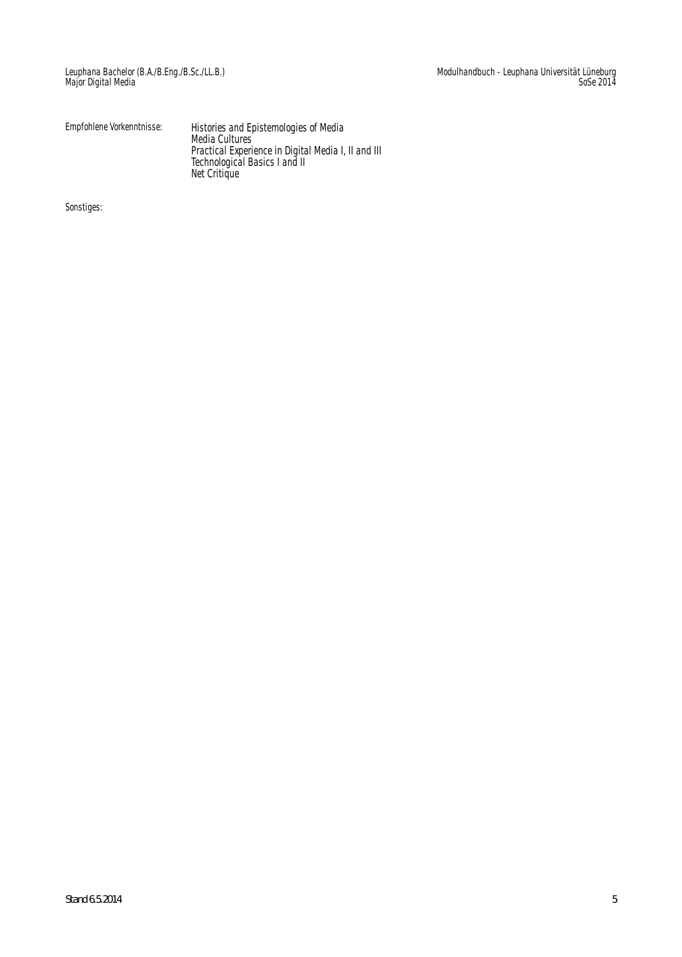| Empfohlene Vorkenntnisse: | Histories and Epistemologies of Media<br>Media Cultures |
|---------------------------|---------------------------------------------------------|
|                           | Practical Experience in Digital Media I, II and III     |
|                           | Technological Basics I and II                           |
|                           | Net Critique                                            |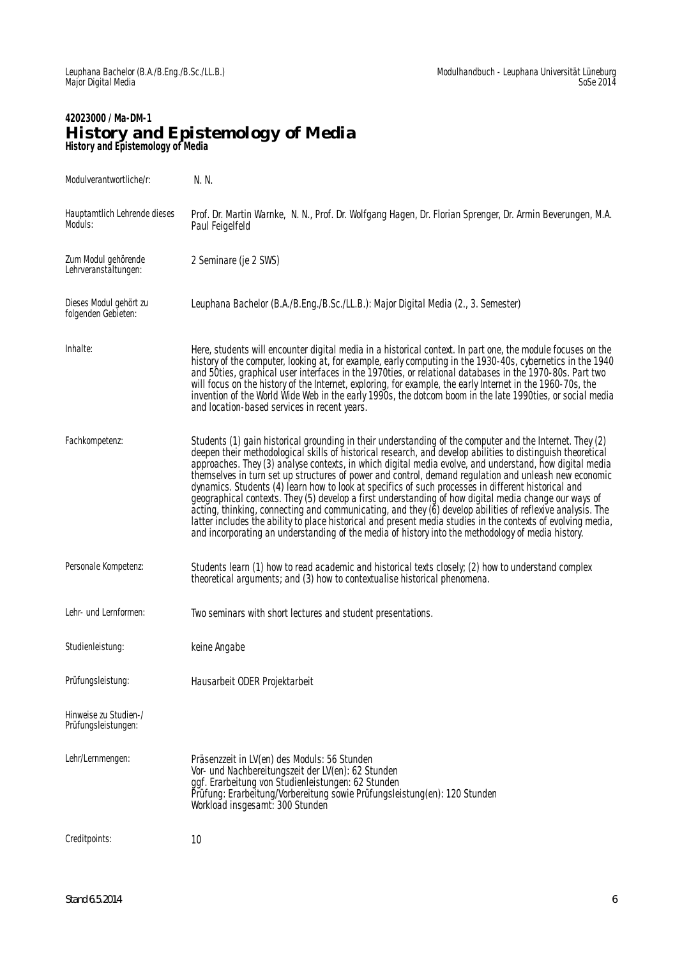#### **42023000 / Ma-DM-1 History and Epistemology of Media History and Epistemology of Media**

| Modulverantwortliche/r:                       | N. N.                                                                                                                                                                                                                                                                                                                                                                                                                                                                                                                                                                                                                                                                                                                                                                                                                                                                                                                                                                                         |
|-----------------------------------------------|-----------------------------------------------------------------------------------------------------------------------------------------------------------------------------------------------------------------------------------------------------------------------------------------------------------------------------------------------------------------------------------------------------------------------------------------------------------------------------------------------------------------------------------------------------------------------------------------------------------------------------------------------------------------------------------------------------------------------------------------------------------------------------------------------------------------------------------------------------------------------------------------------------------------------------------------------------------------------------------------------|
| Hauptamtlich Lehrende dieses<br>Moduls:       | Prof. Dr. Martin Warnke, N. N., Prof. Dr. Wolfgang Hagen, Dr. Florian Sprenger, Dr. Armin Beverungen, M.A.<br>Paul Feigelfeld                                                                                                                                                                                                                                                                                                                                                                                                                                                                                                                                                                                                                                                                                                                                                                                                                                                                 |
| Zum Modul gehörende<br>Lehrveranstältungen:   | 2 Seminare (je 2 SWS)                                                                                                                                                                                                                                                                                                                                                                                                                                                                                                                                                                                                                                                                                                                                                                                                                                                                                                                                                                         |
| Dieses Modul gehört zu<br>folgenden Gebieten: | Leuphana Bachelor (B.A./B.Eng./B.Sc./LL.B.): Major Digital Media (2., 3. Semester)                                                                                                                                                                                                                                                                                                                                                                                                                                                                                                                                                                                                                                                                                                                                                                                                                                                                                                            |
| Inhalte:                                      | Here, students will encounter digital media in a historical context. In part one, the module focuses on the<br>history of the computer, looking at, for example, early computing in the 1930-40s, cybernetics in the 1940<br>and 50ties, graphical user interfaces in the 1970ties, or relational databases in the 1970-80s. Part two<br>will focus on the history of the Internet, exploring, for example, the early Internet in the 1960-70s, the<br>invention of the World Wide Web in the early 1990s, the dotcom boom in the late 1990ties, or social media<br>and location-based services in recent years.                                                                                                                                                                                                                                                                                                                                                                              |
| Fachkompetenz:                                | Students (1) gain historical grounding in their understanding of the computer and the Internet. They (2)<br>deepen their methodological skills of historical research, and develop abilities to distinguish theoretical<br>approaches. They (3) analyse contexts, in which digital media evolve, and understand, how digital media<br>themselves in turn set up structures of power and control, demand regulation and unleash new economic<br>dynamics. Students (4) learn how to look at specifics of such processes in different historical and<br>geographical contexts. They (5) develop a first understanding of how digital media change our ways of<br>acting, thinking, connecting and communicating, and they (6) develop abilities of reflexive analysis. The<br>latter includes the ability to place historical and present media studies in the contexts of evolving media,<br>and incorporating an understanding of the media of history into the methodology of media history. |
| Personale Kompetenz:                          | Students learn (1) how to read academic and historical texts closely; (2) how to understand complex<br>theoretical arguments; and (3) how to contextualise historical phenomena.                                                                                                                                                                                                                                                                                                                                                                                                                                                                                                                                                                                                                                                                                                                                                                                                              |
| Lehr- und Lernformen:                         | Two seminars with short lectures and student presentations.                                                                                                                                                                                                                                                                                                                                                                                                                                                                                                                                                                                                                                                                                                                                                                                                                                                                                                                                   |
| Studienleistung:                              | keine Angabe                                                                                                                                                                                                                                                                                                                                                                                                                                                                                                                                                                                                                                                                                                                                                                                                                                                                                                                                                                                  |
| Prüfungsleistung:                             | Hausarbeit ODER Projektarbeit                                                                                                                                                                                                                                                                                                                                                                                                                                                                                                                                                                                                                                                                                                                                                                                                                                                                                                                                                                 |
| Hinweise zu Studien-/<br>Prüfungsleistungen:  |                                                                                                                                                                                                                                                                                                                                                                                                                                                                                                                                                                                                                                                                                                                                                                                                                                                                                                                                                                                               |
| Lehr/Lernmengen:                              | Präsenzzeit in LV(en) des Moduls: 56 Stunden<br>Vor- und Nachbereitungszeit der LV(en): 62 Stunden<br>ggf. Erarbeitung von Studienleistungen: 62 Stunden<br>Prüfung: Erarbeitung/Vorbereitung sowie Prüfungsleistung(en): 120 Stunden<br>Workload insgesamt: 300 Stunden                                                                                                                                                                                                                                                                                                                                                                                                                                                                                                                                                                                                                                                                                                                      |
| Creditpoints:                                 | 10                                                                                                                                                                                                                                                                                                                                                                                                                                                                                                                                                                                                                                                                                                                                                                                                                                                                                                                                                                                            |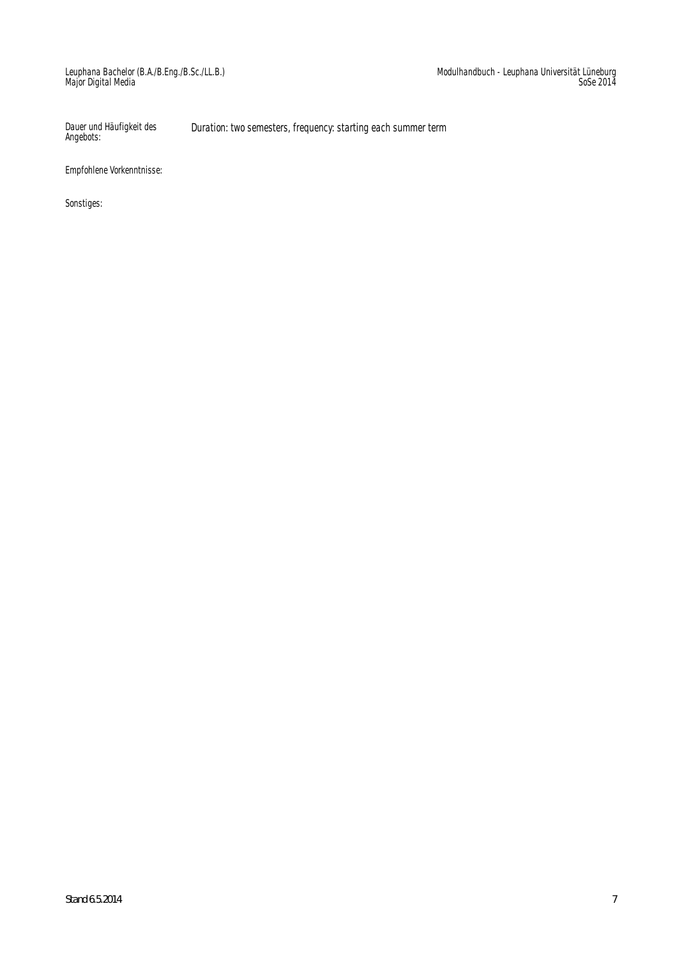Dauer und Häufigkeit des Angebots: Duration: two semesters, frequency: starting each summer term

Empfohlene Vorkenntnisse: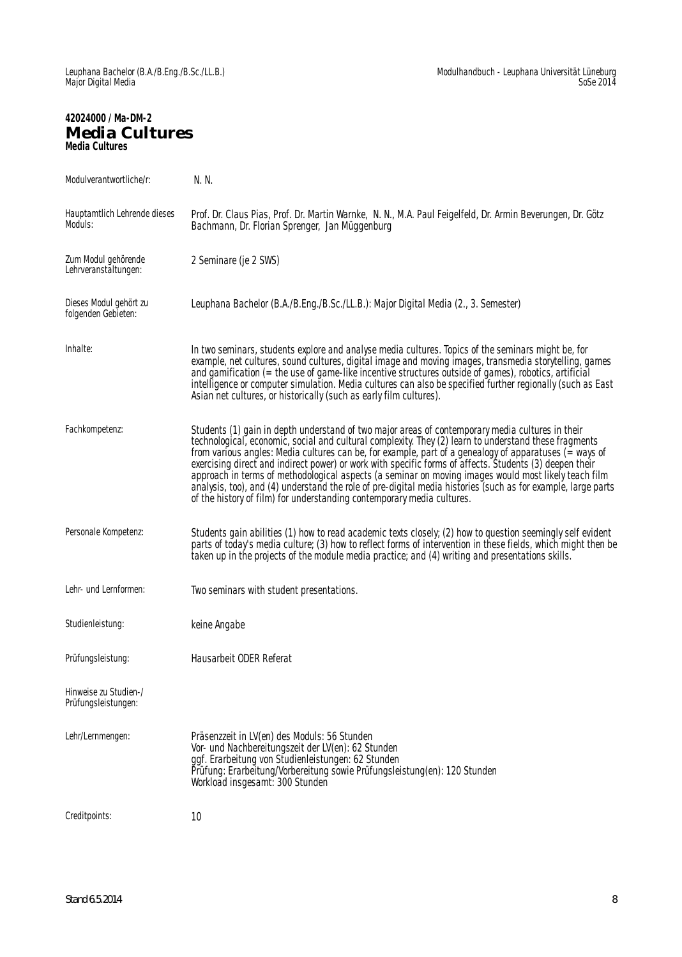# **42024000 / Ma-DM-2 Media Cultures Media Cultures**

| Modulverantwortliche/r:                       | N. N.                                                                                                                                                                                                                                                                                                                                                                                                                                                                                                                                                                                                                                                                                                                                    |
|-----------------------------------------------|------------------------------------------------------------------------------------------------------------------------------------------------------------------------------------------------------------------------------------------------------------------------------------------------------------------------------------------------------------------------------------------------------------------------------------------------------------------------------------------------------------------------------------------------------------------------------------------------------------------------------------------------------------------------------------------------------------------------------------------|
| Hauptamtlich Lehrende dieses<br>Moduls:       | Prof. Dr. Claus Pias, Prof. Dr. Martin Warnke, N. N., M.A. Paul Feigelfeld, Dr. Armin Beverungen, Dr. Götz<br>Bachmann, Dr. Florian Sprenger, Jan Müggenburg                                                                                                                                                                                                                                                                                                                                                                                                                                                                                                                                                                             |
| Zum Modul gehörende<br>Lehrveranstaltungen:   | 2 Seminare (je 2 SWS)                                                                                                                                                                                                                                                                                                                                                                                                                                                                                                                                                                                                                                                                                                                    |
| Dieses Modul gehört zu<br>folgenden Gebieten: | Leuphana Bachelor (B.A./B.Eng./B.Sc./LL.B.): Major Digital Media (2., 3. Semester)                                                                                                                                                                                                                                                                                                                                                                                                                                                                                                                                                                                                                                                       |
| Inhalte:                                      | In two seminars, students explore and analyse media cultures. Topics of the seminars might be, for<br>example, net cultures, sound cultures, digital image and moving images, transmedia storytelling, games<br>and gamification (= the use of game-like incentive structures outside of games), robotics, artificial<br>intelligence or computer simulation. Media cultures can also be specified further regionally (such as East<br>Asian net cultures, or historically (such as early film cultures).                                                                                                                                                                                                                                |
| Fachkompetenz:                                | Students (1) gain in depth understand of two major areas of contemporary media cultures in their<br>technological, economic, social and cultural complexity. They (2) learn to understand these fragments<br>from various angles: Media cultures can be, for example, part of a genealogy of apparatuses ( $\equiv$ ways of<br>exercising direct and indirect power) or work with specific forms of affects. Students (3) deepen their<br>approach in terms of methodological aspects (a seminar on moving images would most likely teach film<br>analysis, too), and (4) understand the role of pre-digital media histories (such as for example, large parts<br>of the history of film) for understanding contemporary media cultures. |
| Personale Kompetenz:                          | Students gain abilities (1) how to read academic texts closely; (2) how to question seemingly self evident<br>parts of today's media culture; (3) how to reflect forms of intervention in these fields, which might then be<br>taken up in the projects of the module media practice; and (4) writing and presentations skills.                                                                                                                                                                                                                                                                                                                                                                                                          |
| Lehr- und Lernformen:                         | Two seminars with student presentations.                                                                                                                                                                                                                                                                                                                                                                                                                                                                                                                                                                                                                                                                                                 |
| Studienleistung:                              | keine Angabe                                                                                                                                                                                                                                                                                                                                                                                                                                                                                                                                                                                                                                                                                                                             |
| Prüfungsleistung:                             | Hausarbeit ODER Referat                                                                                                                                                                                                                                                                                                                                                                                                                                                                                                                                                                                                                                                                                                                  |
| Hinweise zu Studien-/<br>Prüfungsleistungen:  |                                                                                                                                                                                                                                                                                                                                                                                                                                                                                                                                                                                                                                                                                                                                          |
| Lehr/Lernmengen:                              | Präsenzzeit in LV(en) des Moduls: 56 Stunden<br>Vor- und Nachbereitungszeit der LV(en): 62 Stunden<br>ggf. Erarbeitung von Studienleistungen: 62 Stunden<br>Prüfung: Erarbeitung/Vorbereitung sowie Prüfungsleistung(en): 120 Stunden<br>Workload insgesamt: 300 Stunden                                                                                                                                                                                                                                                                                                                                                                                                                                                                 |
| Creditpoints:                                 | 10                                                                                                                                                                                                                                                                                                                                                                                                                                                                                                                                                                                                                                                                                                                                       |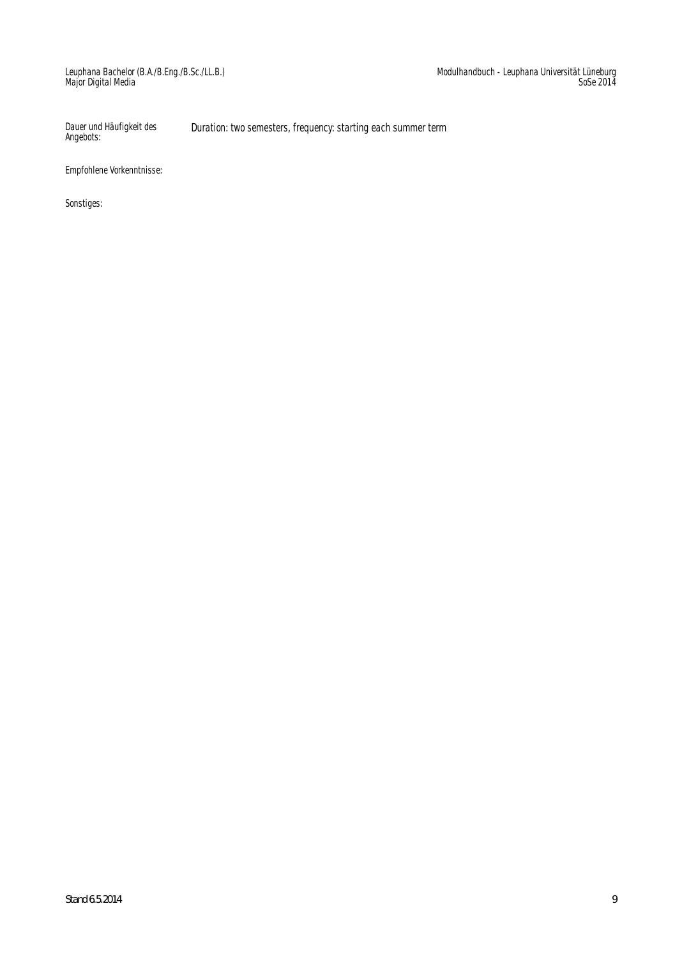Dauer und Häufigkeit des Angebots: Duration: two semesters, frequency: starting each summer term

Empfohlene Vorkenntnisse: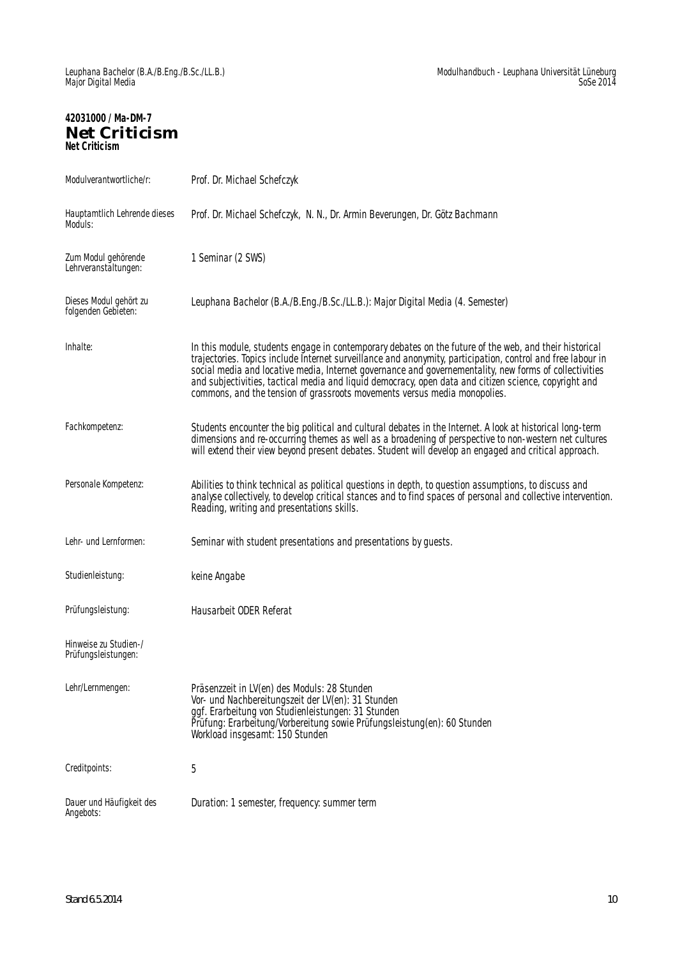# **42031000 / Ma-DM-7 Net Criticism Net Criticism**

| Modulverantwortliche/r:                       | Prof. Dr. Michael Schefczyk                                                                                                                                                                                                                                                                                                                                                                                                                                                                                           |
|-----------------------------------------------|-----------------------------------------------------------------------------------------------------------------------------------------------------------------------------------------------------------------------------------------------------------------------------------------------------------------------------------------------------------------------------------------------------------------------------------------------------------------------------------------------------------------------|
| Hauptamtlich Lehrende dieses<br>Moduls:       | Prof. Dr. Michael Schefczyk, N. N., Dr. Armin Beverungen, Dr. Götz Bachmann                                                                                                                                                                                                                                                                                                                                                                                                                                           |
| Zum Modul gehörende<br>Lehrveranstaltungen:   | 1 Seminar (2 SWS)                                                                                                                                                                                                                                                                                                                                                                                                                                                                                                     |
| Dieses Modul gehört zu<br>folgenden Gebieten: | Leuphana Bachelor (B.A./B.Eng./B.Sc./LL.B.): Major Digital Media (4. Semester)                                                                                                                                                                                                                                                                                                                                                                                                                                        |
| Inhalte:                                      | In this module, students engage in contemporary debates on the future of the web, and their historical<br>trajectories. Topics include Internet surveillance and anonymity, participation, control and free labour in<br>social media and locative media, Internet governance and governementality, new forms of collectivities<br>and subjectivities, tactical media and liquid democracy, open data and citizen science, copyright and<br>commons, and the tension of grassroots movements versus media monopolies. |
| Fachkompetenz:                                | Students encounter the big political and cultural debates in the Internet. A look at historical long-term<br>dimensions and re-occurring themes as well as a broadening of perspective to non-western net cultures<br>will extend their view beyond present debates. Student will develop an engaged and critical approach.                                                                                                                                                                                           |
| Personale Kompetenz:                          | Abilities to think technical as political questions in depth, to question assumptions, to discuss and<br>analyse collectively, to develop critical stances and to find spaces of personal and collective intervention.<br>Reading, writing and presentations skills.                                                                                                                                                                                                                                                  |
| Lehr- und Lernformen:                         | Seminar with student presentations and presentations by guests.                                                                                                                                                                                                                                                                                                                                                                                                                                                       |
| Studienleistung:                              | keine Angabe                                                                                                                                                                                                                                                                                                                                                                                                                                                                                                          |
| Prüfungsleistung:                             | Hausarbeit ODER Referat                                                                                                                                                                                                                                                                                                                                                                                                                                                                                               |
| Hinweise zu Studien-/<br>Prüfungsleistungen:  |                                                                                                                                                                                                                                                                                                                                                                                                                                                                                                                       |
| Lehr/Lernmengen:                              | Präsenzzeit in LV(en) des Moduls: 28 Stunden<br>Vor- und Nachbereitungszeit der LV(en): 31 Stunden<br>ggf. Erarbeitung von Studienleistungen: 31 Stunden<br>Prüfung: Erarbeitung/Vorbereitung sowie Prüfungsleistung(en): 60 Stunden<br>Workload insgesamt: 150 Stunden                                                                                                                                                                                                                                               |
| Creditpoints:                                 | 5                                                                                                                                                                                                                                                                                                                                                                                                                                                                                                                     |
| Dauer und Häufigkeit des<br>Angebots:         | Duration: 1 semester, frequency: summer term                                                                                                                                                                                                                                                                                                                                                                                                                                                                          |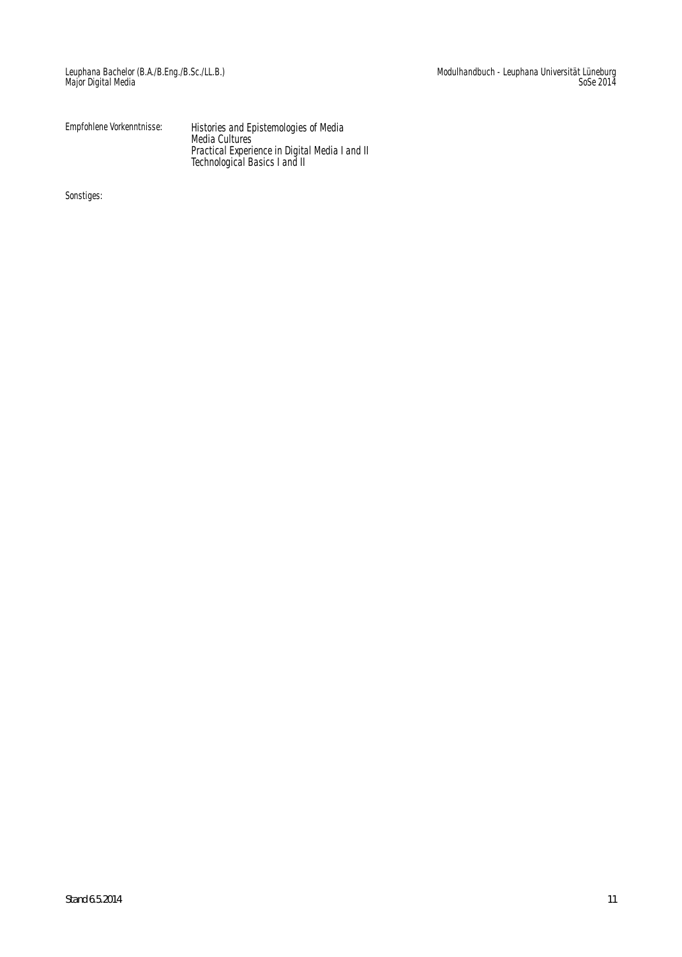Empfohlene Vorkenntnisse: Histories and Epistemologies of Media Media Cultures Practical Experience in Digital Media I and II Technological Basics I and II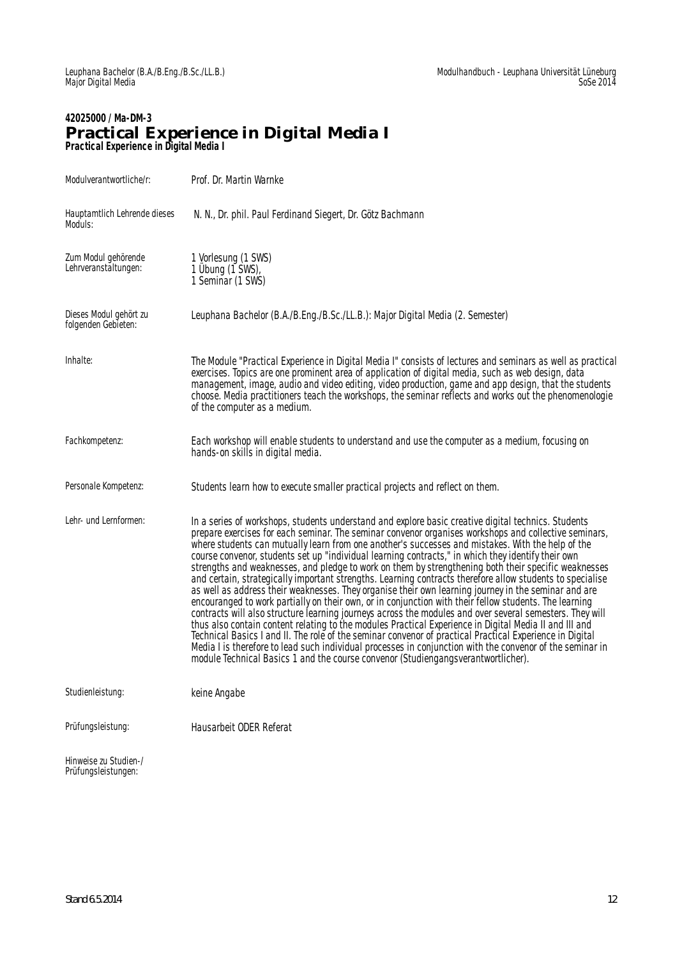#### **42025000 / Ma-DM-3 Practical Experience in Digital Media I Practical Experience in Digital Media I**

| Modulverantwortliche/r:                       | Prof. Dr. Martin Warnke                                                                                                                                                                                                                                                                                                                                                                                                                                                                                                                                                                                                                                                                                                                                                                                                                                                                                                                                                                                                                                                                                                                                                                                                                                                                                                                                                                            |
|-----------------------------------------------|----------------------------------------------------------------------------------------------------------------------------------------------------------------------------------------------------------------------------------------------------------------------------------------------------------------------------------------------------------------------------------------------------------------------------------------------------------------------------------------------------------------------------------------------------------------------------------------------------------------------------------------------------------------------------------------------------------------------------------------------------------------------------------------------------------------------------------------------------------------------------------------------------------------------------------------------------------------------------------------------------------------------------------------------------------------------------------------------------------------------------------------------------------------------------------------------------------------------------------------------------------------------------------------------------------------------------------------------------------------------------------------------------|
| Hauptamtlich Lehrende dieses<br>Moduls:       | N. N., Dr. phil. Paul Ferdinand Siegert, Dr. Götz Bachmann                                                                                                                                                                                                                                                                                                                                                                                                                                                                                                                                                                                                                                                                                                                                                                                                                                                                                                                                                                                                                                                                                                                                                                                                                                                                                                                                         |
| Zum Modul gehörende<br>Lehrveranstältungen:   | 1 Vorlesung (1 SWS)<br>1 Übung (1 SWS),<br>1 Seminar (1 SWS)                                                                                                                                                                                                                                                                                                                                                                                                                                                                                                                                                                                                                                                                                                                                                                                                                                                                                                                                                                                                                                                                                                                                                                                                                                                                                                                                       |
| Dieses Modul gehört zu<br>folgenden Gebieten: | Leuphana Bachelor (B.A./B.Eng./B.Sc./LL.B.): Major Digital Media (2. Semester)                                                                                                                                                                                                                                                                                                                                                                                                                                                                                                                                                                                                                                                                                                                                                                                                                                                                                                                                                                                                                                                                                                                                                                                                                                                                                                                     |
| Inhalte:                                      | The Module "Practical Experience in Digital Media I" consists of lectures and seminars as well as practical<br>exercises. Topics are one prominent area of application of digital media, such as web design, data<br>management, image, audio and video editing, video production, game and app design, that the students<br>choose. Media practitioners teach the workshops, the seminar reflects and works out the phenomenologie<br>of the computer as a medium.                                                                                                                                                                                                                                                                                                                                                                                                                                                                                                                                                                                                                                                                                                                                                                                                                                                                                                                                |
| Fachkompetenz:                                | Each workshop will enable students to understand and use the computer as a medium, focusing on<br>hands-on skills in digital media.                                                                                                                                                                                                                                                                                                                                                                                                                                                                                                                                                                                                                                                                                                                                                                                                                                                                                                                                                                                                                                                                                                                                                                                                                                                                |
| Personale Kompetenz:                          | Students learn how to execute smaller practical projects and reflect on them.                                                                                                                                                                                                                                                                                                                                                                                                                                                                                                                                                                                                                                                                                                                                                                                                                                                                                                                                                                                                                                                                                                                                                                                                                                                                                                                      |
| Lehr- und Lernformen:                         | In a series of workshops, students understand and explore basic creative digital technics. Students<br>prepare exercises for each seminar. The seminar convenor organises workshops and collective seminars,<br>where students can mutually learn from one another's successes and mistakes. With the help of the<br>course convenor, students set up "individual learning contracts," in which they identify their own<br>strengths and weaknesses, and pledge to work on them by strengthening both their specific weaknesses<br>and certain, strategically important strengths. Learning contracts therefore allow students to specialise<br>as well as address their weaknesses. They organise their own learning journey in the seminar and are<br>encouranged to work partially on their own, or in conjunction with their fellow students. The learning<br>contracts will also structure learning journeys across the modules and over several semesters. They will<br>thus also contain content relating to the modules Practical Experience in Digital Media II and III and<br>Technical Basics I and II. The role of the seminar convenor of practical Practical Experience in Digital<br>Media I is therefore to lead such individual processes in conjunction with the convenor of the seminar in<br>module Technical Basics 1 and the course convenor (Studiengangsverantwortlicher). |
| Studienleistung:                              | keine Angabe                                                                                                                                                                                                                                                                                                                                                                                                                                                                                                                                                                                                                                                                                                                                                                                                                                                                                                                                                                                                                                                                                                                                                                                                                                                                                                                                                                                       |
| Prüfungsleistung:                             | Hausarbeit ODER Referat                                                                                                                                                                                                                                                                                                                                                                                                                                                                                                                                                                                                                                                                                                                                                                                                                                                                                                                                                                                                                                                                                                                                                                                                                                                                                                                                                                            |
| Hinweise zu Studien-/<br>Prüfungsleistungen:  |                                                                                                                                                                                                                                                                                                                                                                                                                                                                                                                                                                                                                                                                                                                                                                                                                                                                                                                                                                                                                                                                                                                                                                                                                                                                                                                                                                                                    |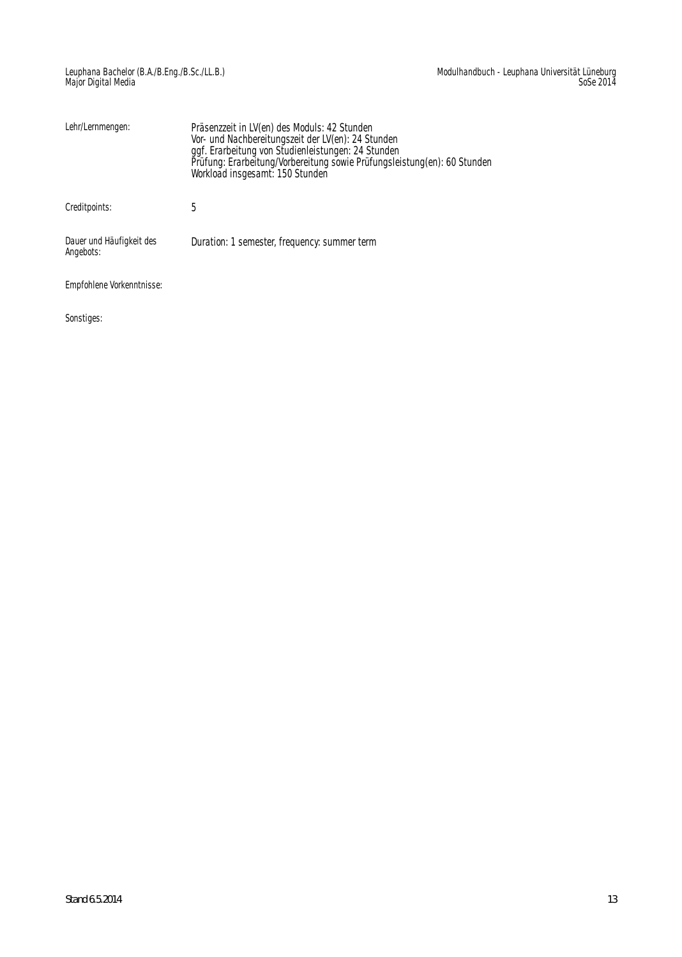| Lehr/Lernmengen:                      | Präsenzzeit in LV(en) des Moduls: 42 Stunden<br>Vor- und Nachbereitungszeit der LV(en): 24 Stunden<br>ggf. Erarbeitung von Studienleistungen: 24 Stunden<br>Prüfung: Erarbeitung/Vorbereitung sowie Prüfungsleistung(en): 60 Stunden<br>Workload insgesamt: 150 Stunden |
|---------------------------------------|-------------------------------------------------------------------------------------------------------------------------------------------------------------------------------------------------------------------------------------------------------------------------|
| Creditpoints:                         | 5                                                                                                                                                                                                                                                                       |
| Dauer und Häufigkeit des<br>Angebots: | Duration: 1 semester, frequency: summer term                                                                                                                                                                                                                            |
| Empfohlene Vorkenntnisse:             |                                                                                                                                                                                                                                                                         |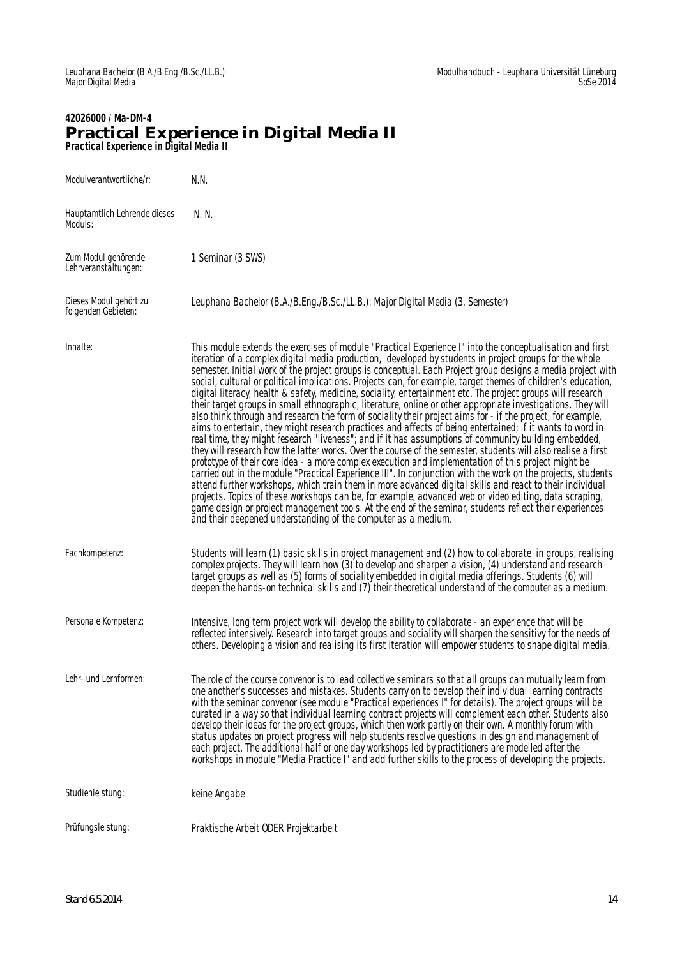#### **42026000 / Ma-DM-4 Practical Experience in Digital Media II Practical Experience in Digital Media II**

| Modulverantwortliche/r:                       | N.N.                                                                                                                                                                                                                                                                                                                                                                                                                                                                                                                                                                                                                                                                                                                                                                                                                                                                                                                                                                                                                                                                                                                                                                                                                                                                                                                                                                                                                                                                                                                                                                                                                                                                                                                                                           |
|-----------------------------------------------|----------------------------------------------------------------------------------------------------------------------------------------------------------------------------------------------------------------------------------------------------------------------------------------------------------------------------------------------------------------------------------------------------------------------------------------------------------------------------------------------------------------------------------------------------------------------------------------------------------------------------------------------------------------------------------------------------------------------------------------------------------------------------------------------------------------------------------------------------------------------------------------------------------------------------------------------------------------------------------------------------------------------------------------------------------------------------------------------------------------------------------------------------------------------------------------------------------------------------------------------------------------------------------------------------------------------------------------------------------------------------------------------------------------------------------------------------------------------------------------------------------------------------------------------------------------------------------------------------------------------------------------------------------------------------------------------------------------------------------------------------------------|
| Hauptamtlich Lehrende dieses<br>Moduls:       | N. N.                                                                                                                                                                                                                                                                                                                                                                                                                                                                                                                                                                                                                                                                                                                                                                                                                                                                                                                                                                                                                                                                                                                                                                                                                                                                                                                                                                                                                                                                                                                                                                                                                                                                                                                                                          |
| Zum Modul gehörende<br>Lehrveranstaltungen:   | 1 Seminar (3 SWS)                                                                                                                                                                                                                                                                                                                                                                                                                                                                                                                                                                                                                                                                                                                                                                                                                                                                                                                                                                                                                                                                                                                                                                                                                                                                                                                                                                                                                                                                                                                                                                                                                                                                                                                                              |
| Dieses Modul gehört zu<br>folgenden Gebieten: | Leuphana Bachelor (B.A./B.Eng./B.Sc./LL.B.): Major Digital Media (3. Semester)                                                                                                                                                                                                                                                                                                                                                                                                                                                                                                                                                                                                                                                                                                                                                                                                                                                                                                                                                                                                                                                                                                                                                                                                                                                                                                                                                                                                                                                                                                                                                                                                                                                                                 |
| Inhalte:                                      | This module extends the exercises of module "Practical Experience I" into the conceptualisation and first<br>iteration of a complex digital media production, developed by students in project groups for the whole<br>semester. Initial work of the project groups is conceptual. Each Project group designs a media project with<br>social, cultural or political implications. Projects can, for example, target themes of children's education,<br>digital literacy, health & safety, medicine, sociality, entertainment etc. The project groups will research<br>their target groups in small ethnographic, literature, online or other appropriate investigations. They will<br>also think through and research the form of sociality their project aims for - if the project, for example,<br>aims to entertain, they might research practices and affects of being entertained; if it wants to word in<br>real time, they might research "liveness"; and if it has assumptions of community building embedded,<br>they will research how the latter works. Over the course of the semester, students will also realise a first<br>prototype of their core idea - a more complex execution and implementation of this project might be<br>carried out in the module "Practical Experience III". In conjunction with the work on the projects, students<br>attend further workshops, which train them in more advanced digital skills and react to their individual<br>projects. Topics of these workshops can be, for example, advanced web or video editing, data scraping,<br>game design or project management tools. At the end of the seminar, students reflect their experiences<br>and their deepened understanding of the computer as a medium. |
| Fachkompetenz:                                | Students will learn (1) basic skills in project management and (2) how to collaborate in groups, realising<br>complex projects. They will learn how (3) to develop and sharpen a vision, (4) understand and research<br>target groups as well as (5) forms of sociality embedded in digital media offerings. Students (6) will<br>deepen the hands-on technical skills and (7) their theoretical understand of the computer as a medium.                                                                                                                                                                                                                                                                                                                                                                                                                                                                                                                                                                                                                                                                                                                                                                                                                                                                                                                                                                                                                                                                                                                                                                                                                                                                                                                       |
| Personale Kompetenz:                          | Intensive, long term project work will develop the ability to collaborate - an experience that will be<br>reflected intensively. Research into target groups and sociality will sharpen the sensitivy for the needs of<br>others. Developing a vision and realising its first iteration will empower students to shape digital media.                                                                                                                                                                                                                                                                                                                                                                                                                                                                                                                                                                                                                                                                                                                                                                                                                                                                                                                                                                                                                                                                                                                                                                                                                                                                                                                                                                                                                          |
| Lehr- und Lernformen:                         | The role of the course convenor is to lead collective seminars so that all groups can mutually learn from<br>one another's successes and mistakes. Students carry on to develop their individual learning contracts<br>with the seminar convenor (see module "Practical experiences I" for details). The project groups will be<br>curated in a way so that individual learning contract projects will complement each other. Students also<br>develop their ideas for the project groups, which then work partly on their own. A monthly forum with<br>status updates on project progress will help students resolve questions in design and management of<br>each project. The additional half or one day workshops led by practitioners are modelled after the<br>workshops in module "Media Practice I" and add further skills to the process of developing the projects.                                                                                                                                                                                                                                                                                                                                                                                                                                                                                                                                                                                                                                                                                                                                                                                                                                                                                  |
| Studienleistung:                              | keine Angabe                                                                                                                                                                                                                                                                                                                                                                                                                                                                                                                                                                                                                                                                                                                                                                                                                                                                                                                                                                                                                                                                                                                                                                                                                                                                                                                                                                                                                                                                                                                                                                                                                                                                                                                                                   |
| Prüfungsleistung:                             | Praktische Arbeit ODER Projektarbeit                                                                                                                                                                                                                                                                                                                                                                                                                                                                                                                                                                                                                                                                                                                                                                                                                                                                                                                                                                                                                                                                                                                                                                                                                                                                                                                                                                                                                                                                                                                                                                                                                                                                                                                           |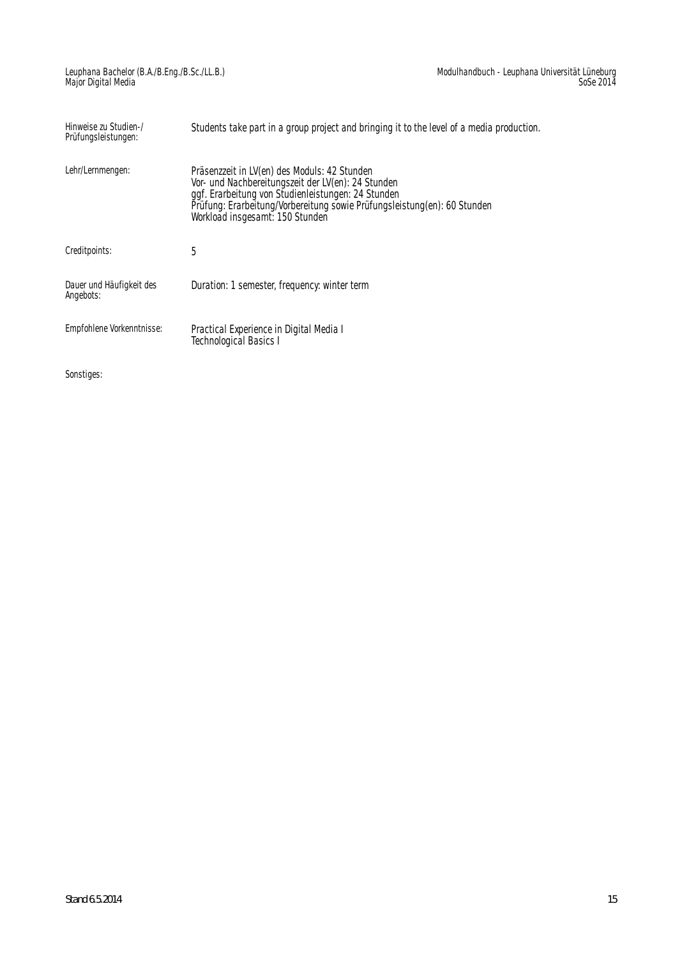| Hinweise zu Studien-/<br>Prüfungsleistungen: | Students take part in a group project and bringing it to the level of a media production.                                                                                                                                                                               |
|----------------------------------------------|-------------------------------------------------------------------------------------------------------------------------------------------------------------------------------------------------------------------------------------------------------------------------|
| Lehr/Lernmengen:                             | Präsenzzeit in LV(en) des Moduls: 42 Stunden<br>Vor- und Nachbereitungszeit der LV(en): 24 Stunden<br>ggf. Erarbeitung von Studienleistungen: 24 Stunden<br>Prüfung: Erarbeitung/Vorbereitung sowie Prüfungsleistung(en): 60 Stunden<br>Workload insgesamt: 150 Stunden |
| Creditpoints:                                | 5                                                                                                                                                                                                                                                                       |
| Dauer und Häufigkeit des<br>Angebots:        | Duration: 1 semester, frequency: winter term                                                                                                                                                                                                                            |
| Empfohlene Vorkenntnisse:                    | Practical Experience in Digital Media I<br><b>Technological Basics I</b>                                                                                                                                                                                                |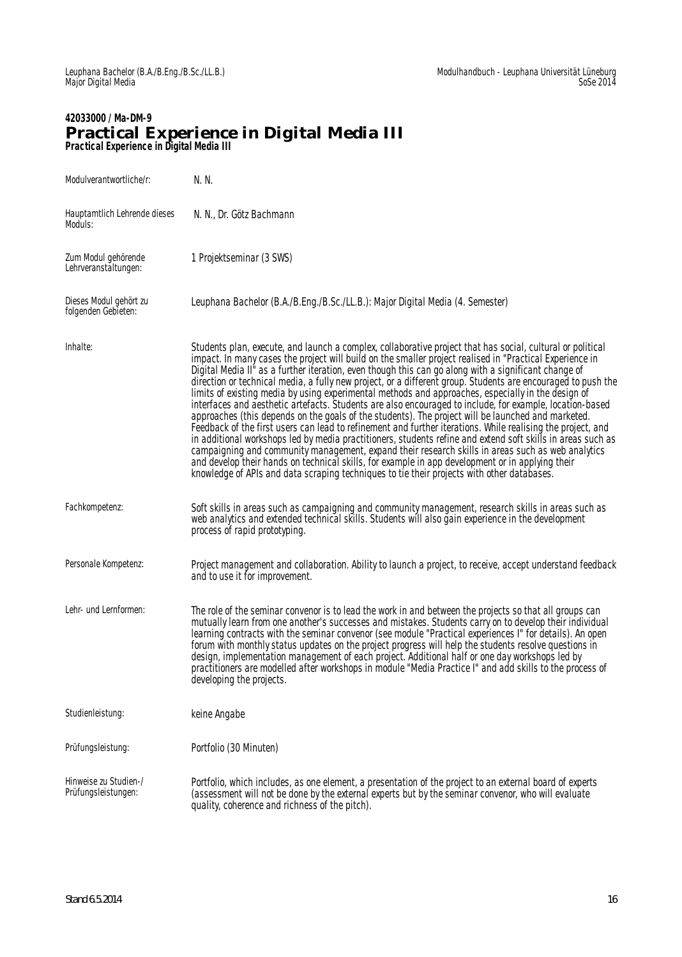#### **42033000 / Ma-DM-9 Practical Experience in Digital Media III Practical Experience in Digital Media III**

| Modulverantwortliche/r:                       | N. N.                                                                                                                                                                                                                                                                                                                                                                                                                                                                                                                                                                                                                                                                                                                                                                                                                                                                                                                                                                                                                                                                                                                                                                                                                                                                                                       |
|-----------------------------------------------|-------------------------------------------------------------------------------------------------------------------------------------------------------------------------------------------------------------------------------------------------------------------------------------------------------------------------------------------------------------------------------------------------------------------------------------------------------------------------------------------------------------------------------------------------------------------------------------------------------------------------------------------------------------------------------------------------------------------------------------------------------------------------------------------------------------------------------------------------------------------------------------------------------------------------------------------------------------------------------------------------------------------------------------------------------------------------------------------------------------------------------------------------------------------------------------------------------------------------------------------------------------------------------------------------------------|
| Hauptamtlich Lehrende dieses<br>Moduls:       | N. N., Dr. Götz Bachmann                                                                                                                                                                                                                                                                                                                                                                                                                                                                                                                                                                                                                                                                                                                                                                                                                                                                                                                                                                                                                                                                                                                                                                                                                                                                                    |
| Zum Modul gehörende<br>Lehrveranstaltungen:   | 1 Projektseminar (3 SWS)                                                                                                                                                                                                                                                                                                                                                                                                                                                                                                                                                                                                                                                                                                                                                                                                                                                                                                                                                                                                                                                                                                                                                                                                                                                                                    |
| Dieses Modul gehört zu<br>folgenden Gebieten: | Leuphana Bachelor (B.A./B.Eng./B.Sc./LL.B.): Major Digital Media (4. Semester)                                                                                                                                                                                                                                                                                                                                                                                                                                                                                                                                                                                                                                                                                                                                                                                                                                                                                                                                                                                                                                                                                                                                                                                                                              |
| Inhalte:                                      | Students plan, execute, and launch a complex, collaborative project that has social, cultural or political<br>impact. In many cases the project will build on the smaller project realised in "Practical Experience in<br>Digital Media II" as a further iteration, even though this can go along with a significant change of<br>direction or technical media, a fully new project, or a different group. Students are encouraged to push the<br>limits of existing media by using experimental methods and approaches, especially in the design of<br>interfaces and aesthetic artefacts. Students are also encouraged to include, for example, location-based<br>approaches (this depends on the goals of the students). The project will be launched and marketed.<br>Feedback of the first users can lead to refinement and further iterations. While realising the project, and<br>in additional workshops led by media practitioners, students refine and extend soft skills in areas such as<br>campaigning and community management, expand their research skills in areas such as web analytics<br>and develop their hands on technical skills, for example in app development or in applying their<br>knowledge of APIs and data scraping techniques to tie their projects with other databases. |
| Fachkompetenz:                                | Soft skills in areas such as campaigning and community management, research skills in areas such as<br>web analytics and extended technical skills. Students will also gain experience in the development<br>process of rapid prototyping.                                                                                                                                                                                                                                                                                                                                                                                                                                                                                                                                                                                                                                                                                                                                                                                                                                                                                                                                                                                                                                                                  |
| Personale Kompetenz:                          | Project management and collaboration. Ability to launch a project, to receive, accept understand feedback<br>and to use it for improvement.                                                                                                                                                                                                                                                                                                                                                                                                                                                                                                                                                                                                                                                                                                                                                                                                                                                                                                                                                                                                                                                                                                                                                                 |
| Lehr- und Lernformen:                         | The role of the seminar convenor is to lead the work in and between the projects so that all groups can<br>mutually learn from one another's successes and mistakes. Students carry on to develop their individual<br>learning contracts with the seminar convenor (see module "Practical experiences I" for details). An open<br>forum with monthly status updates on the project progress will help the students resolve questions in<br>design, implementation management of each project. Additional half or one day workshops led by<br>practitioners are modelled after workshops in module "Media Practice I" and add skills to the process of<br>developing the projects.                                                                                                                                                                                                                                                                                                                                                                                                                                                                                                                                                                                                                           |
| Studienleistung:                              | keine Angabe                                                                                                                                                                                                                                                                                                                                                                                                                                                                                                                                                                                                                                                                                                                                                                                                                                                                                                                                                                                                                                                                                                                                                                                                                                                                                                |
| Prüfungsleistung:                             | Portfolio (30 Minuten)                                                                                                                                                                                                                                                                                                                                                                                                                                                                                                                                                                                                                                                                                                                                                                                                                                                                                                                                                                                                                                                                                                                                                                                                                                                                                      |
| Hinweise zu Studien-/<br>Prüfungsleistungen:  | Portfolio, which includes, as one element, a presentation of the project to an external board of experts<br>(assessment will not be done by the external experts but by the seminar convenor, who will evaluate<br>quality, coherence and richness of the pitch).                                                                                                                                                                                                                                                                                                                                                                                                                                                                                                                                                                                                                                                                                                                                                                                                                                                                                                                                                                                                                                           |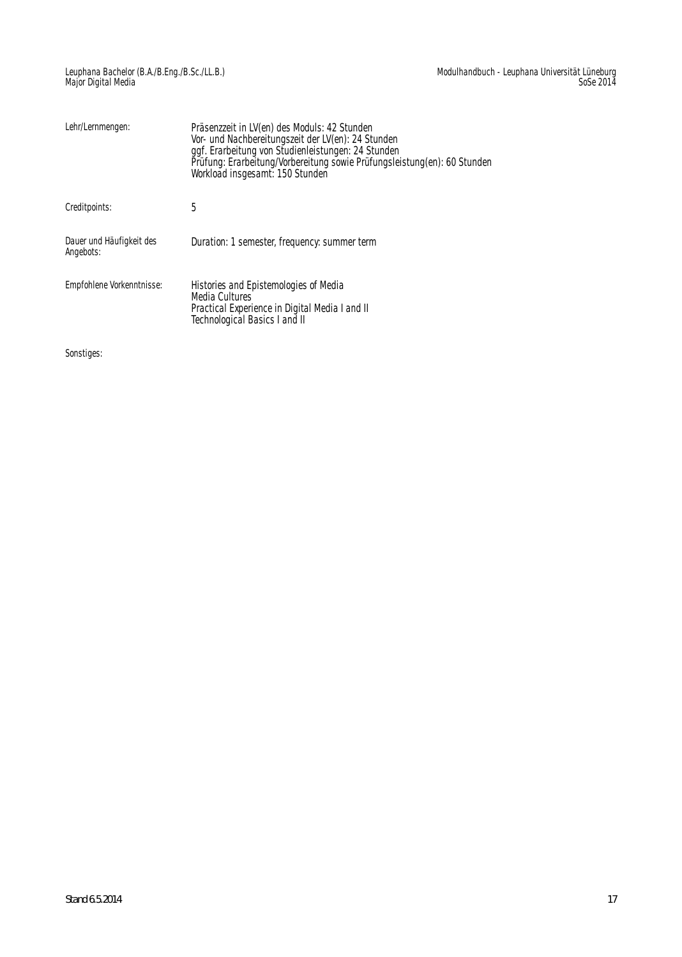| Lehr/Lernmengen:                      | Präsenzzeit in LV(en) des Moduls: 42 Stunden<br>Vor- und Nachbereitungszeit der LV(en): 24 Stunden<br>ggf. Erarbeitung von Studienleistungen: 24 Stunden<br>Prüfung: Erarbeitung/Vorbereitung sowie Prüfungsleistung(en): 60 Stunden<br>Workload insgesamt: 150 Stunden |
|---------------------------------------|-------------------------------------------------------------------------------------------------------------------------------------------------------------------------------------------------------------------------------------------------------------------------|
| Creditpoints:                         | 5                                                                                                                                                                                                                                                                       |
| Dauer und Häufigkeit des<br>Angebots: | Duration: 1 semester, frequency: summer term                                                                                                                                                                                                                            |
| Empfohlene Vorkenntnisse:             | Histories and Epistemologies of Media<br><b>Media Cultures</b><br>Practical Experience in Digital Media I and II<br>Technological Basics I and II                                                                                                                       |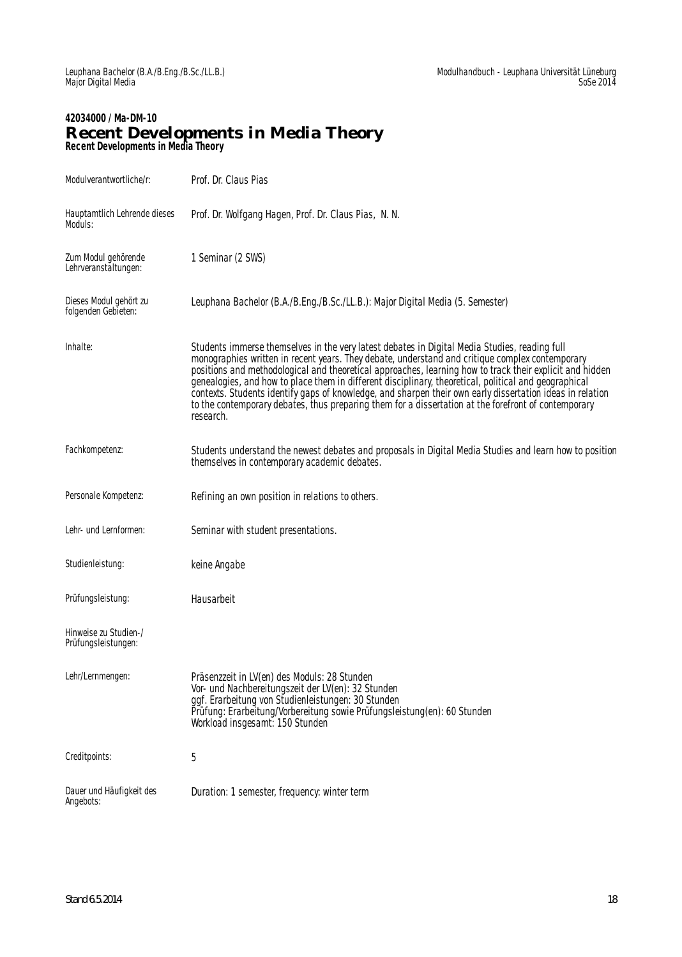#### **42034000 / Ma-DM-10 Recent Developments in Media Theory Recent Developments in Media Theory**

| Modulverantwortliche/r:                       | Prof. Dr. Claus Pias                                                                                                                                                                                                                                                                                                                                                                                                                                                                                                                                                                                                                                    |  |
|-----------------------------------------------|---------------------------------------------------------------------------------------------------------------------------------------------------------------------------------------------------------------------------------------------------------------------------------------------------------------------------------------------------------------------------------------------------------------------------------------------------------------------------------------------------------------------------------------------------------------------------------------------------------------------------------------------------------|--|
| Hauptamtlich Lehrende dieses<br>Moduls:       | Prof. Dr. Wolfgang Hagen, Prof. Dr. Claus Pias, N. N.                                                                                                                                                                                                                                                                                                                                                                                                                                                                                                                                                                                                   |  |
| Zum Modul gehörende<br>Lehrveranstältungen:   | 1 Seminar (2 SWS)                                                                                                                                                                                                                                                                                                                                                                                                                                                                                                                                                                                                                                       |  |
| Dieses Modul gehört zu<br>folgenden Gebieten: | Leuphana Bachelor (B.A./B.Eng./B.Sc./LL.B.): Major Digital Media (5. Semester)                                                                                                                                                                                                                                                                                                                                                                                                                                                                                                                                                                          |  |
| Inhalte:                                      | Students immerse themselves in the very latest debates in Digital Media Studies, reading full<br>monographies written in recent years. They debate, understand and critique complex contemporary<br>positions and methodological and theoretical approaches, learning how to track their explicit and hidden<br>genealogies, and how to place them in different disciplinary, theoretical, political and geographical<br>contexts. Students identify gaps of knowledge, and sharpen their own early dissertation ideas in relation<br>to the contemporary debates, thus preparing them for a dissertation at the forefront of contemporary<br>research. |  |
| Fachkompetenz:                                | Students understand the newest debates and proposals in Digital Media Studies and learn how to position<br>themselves in contemporary academic debates.                                                                                                                                                                                                                                                                                                                                                                                                                                                                                                 |  |
| Personale Kompetenz:                          | Refining an own position in relations to others.                                                                                                                                                                                                                                                                                                                                                                                                                                                                                                                                                                                                        |  |
| Lehr- und Lernformen:                         | Seminar with student presentations.                                                                                                                                                                                                                                                                                                                                                                                                                                                                                                                                                                                                                     |  |
| Studienleistung:                              | keine Angabe                                                                                                                                                                                                                                                                                                                                                                                                                                                                                                                                                                                                                                            |  |
| Prüfungsleistung:                             | Hausarbeit                                                                                                                                                                                                                                                                                                                                                                                                                                                                                                                                                                                                                                              |  |
| Hinweise zu Studien-/<br>Prüfungsleistungen:  |                                                                                                                                                                                                                                                                                                                                                                                                                                                                                                                                                                                                                                                         |  |
| Lehr/Lernmengen:                              | Präsenzzeit in LV(en) des Moduls: 28 Stunden<br>Vor- und Nachbereitungszeit der LV(en): 32 Stunden<br>ggf. Erarbeitung von Studienleistungen: 30 Stunden<br>Prüfung: Erarbeitung/Vorbereitung sowie Prüfungsleistung(en): 60 Stunden<br>Workload insgesamt: 150 Stunden                                                                                                                                                                                                                                                                                                                                                                                 |  |
| Creditpoints:                                 | 5                                                                                                                                                                                                                                                                                                                                                                                                                                                                                                                                                                                                                                                       |  |
| Dauer und Häufigkeit des<br>Angebots:         | Duration: 1 semester, frequency: winter term                                                                                                                                                                                                                                                                                                                                                                                                                                                                                                                                                                                                            |  |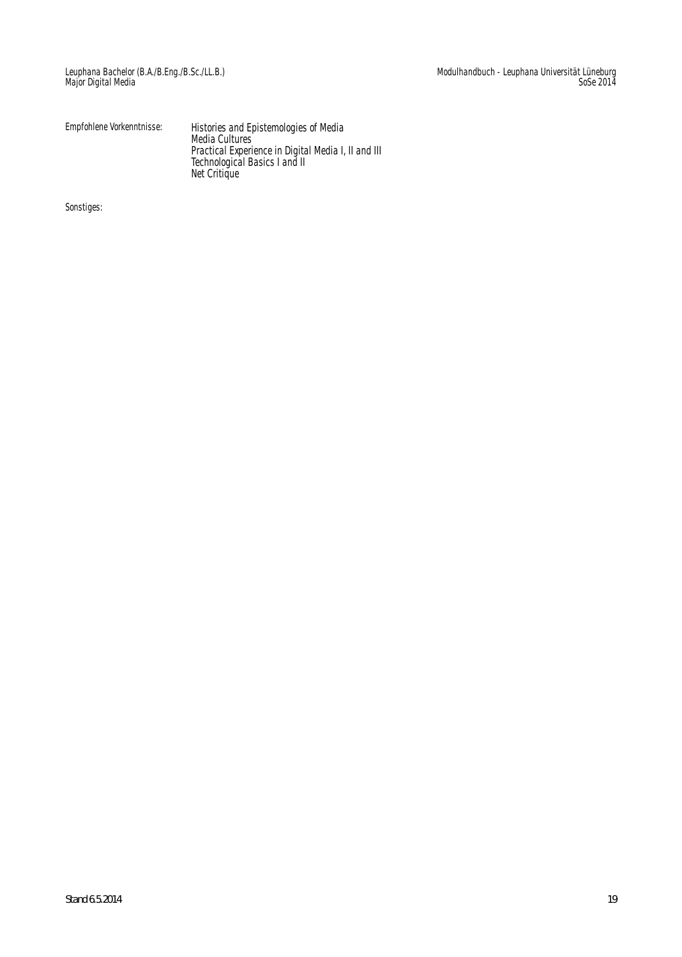| Empfohlene Vorkenntnisse: | Histories and Epistemologies of Media<br>Media Cultures |
|---------------------------|---------------------------------------------------------|
|                           | Practical Experience in Digital Media I, II and III     |
|                           | Technological Basics I and II                           |
|                           | Net Critique                                            |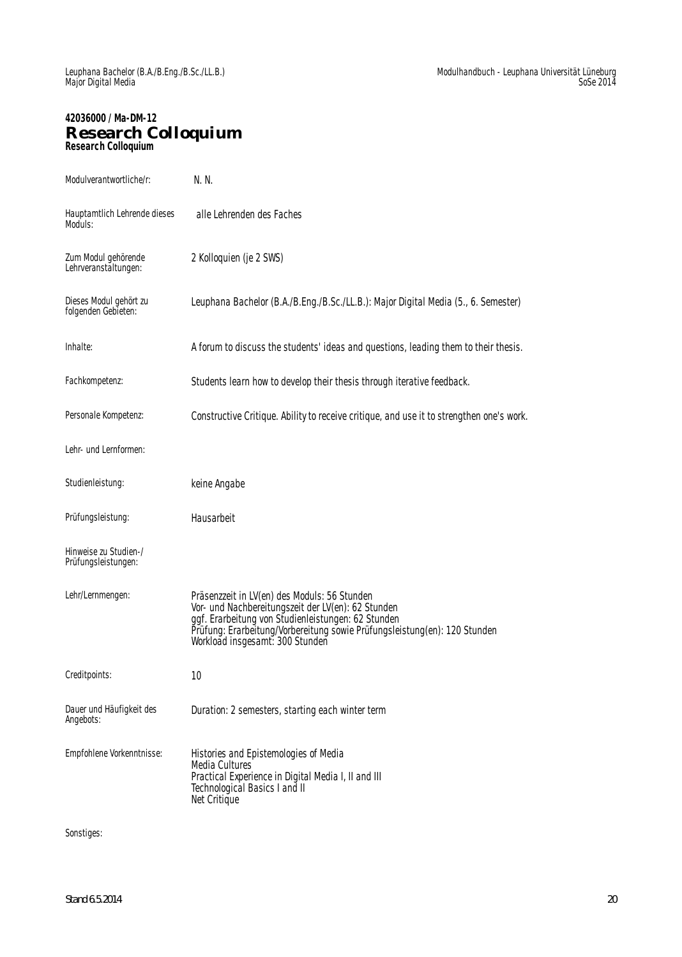### **42036000 / Ma-DM-12 Research Colloquium Research Colloquium**

| Modulverantwortliche/r:                       | N. N.                                                                                                                                                                                                                                                                    |
|-----------------------------------------------|--------------------------------------------------------------------------------------------------------------------------------------------------------------------------------------------------------------------------------------------------------------------------|
| Hauptamtlich Lehrende dieses<br>Moduls:       | alle Lehrenden des Faches                                                                                                                                                                                                                                                |
| Zum Modul gehörende<br>Lehrveranstältungen:   | 2 Kolloquien (je 2 SWS)                                                                                                                                                                                                                                                  |
| Dieses Modul gehört zu<br>folgenden Gebieten: | Leuphana Bachelor (B.A./B.Eng./B.Sc./LL.B.): Major Digital Media (5., 6. Semester)                                                                                                                                                                                       |
| Inhalte:                                      | A forum to discuss the students' ideas and questions, leading them to their thesis.                                                                                                                                                                                      |
| Fachkompetenz:                                | Students learn how to develop their thesis through iterative feedback.                                                                                                                                                                                                   |
| Personale Kompetenz:                          | Constructive Critique. Ability to receive critique, and use it to strengthen one's work.                                                                                                                                                                                 |
| Lehr- und Lernformen:                         |                                                                                                                                                                                                                                                                          |
| Studienleistung:                              | keine Angabe                                                                                                                                                                                                                                                             |
| Prüfungsleistung:                             | Hausarbeit                                                                                                                                                                                                                                                               |
| Hinweise zu Studien-/<br>Prüfungsleistungen:  |                                                                                                                                                                                                                                                                          |
| Lehr/Lernmengen:                              | Präsenzzeit in LV(en) des Moduls: 56 Stunden<br>Vor- und Nachbereitungszeit der LV(en): 62 Stunden<br>ggf. Erarbeitung von Studienleistungen: 62 Stunden<br>Prüfung: Erarbeitung/Vorbereitung sowie Prüfungsleistung(en): 120 Stunden<br>Workload insgesamt: 300 Stunden |
| Creditpoints:                                 | 10                                                                                                                                                                                                                                                                       |
| Dauer und Häufigkeit des                      |                                                                                                                                                                                                                                                                          |
| Angebots:                                     | Duration: 2 semesters, starting each winter term                                                                                                                                                                                                                         |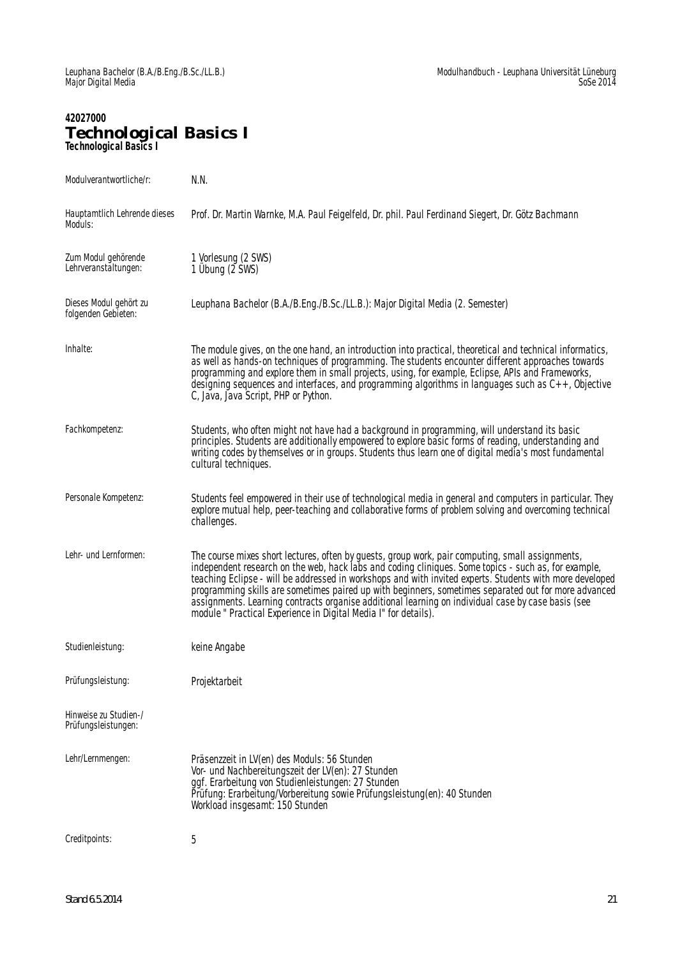### **42027000 Technological Basics I Technological Basics I**

| Modulverantwortliche/r:                       | N.N.                                                                                                                                                                                                                                                                                                                                                                                                                                                                                                                                                                                                  |
|-----------------------------------------------|-------------------------------------------------------------------------------------------------------------------------------------------------------------------------------------------------------------------------------------------------------------------------------------------------------------------------------------------------------------------------------------------------------------------------------------------------------------------------------------------------------------------------------------------------------------------------------------------------------|
| Hauptamtlich Lehrende dieses<br>Moduls:       | Prof. Dr. Martin Warnke, M.A. Paul Feigelfeld, Dr. phil. Paul Ferdinand Siegert, Dr. Götz Bachmann                                                                                                                                                                                                                                                                                                                                                                                                                                                                                                    |
| Zum Modul gehörende<br>Lehrveranstaltungen:   | 1 Vorlesung (2 SWS)<br>1 Übung (2 SWS)                                                                                                                                                                                                                                                                                                                                                                                                                                                                                                                                                                |
| Dieses Modul gehört zu<br>folgenden Gebieten: | Leuphana Bachelor (B.A./B.Eng./B.Sc./LL.B.): Major Digital Media (2. Semester)                                                                                                                                                                                                                                                                                                                                                                                                                                                                                                                        |
| Inhalte:                                      | The module gives, on the one hand, an introduction into practical, theoretical and technical informatics,<br>as well as hands-on techniques of programming. The students encounter different approaches towards<br>programming and explore them in small projects, using, for example, Eclipse, APIs and Frameworks,<br>designing sequences and interfaces, and programming algorithms in languages such as $C_{++}$ , Objective<br>C, Java, Java Script, PHP or Python.                                                                                                                              |
| Fachkompetenz:                                | Students, who often might not have had a background in programming, will understand its basic<br>principles. Students are additionally empowered to explore basic forms of reading, understanding and<br>writing codes by themselves or in groups. Students thus learn one of digital media's most fundamental<br>cultural techniques.                                                                                                                                                                                                                                                                |
| Personale Kompetenz:                          | Students feel empowered in their use of technological media in general and computers in particular. They<br>explore mutual help, peer-teaching and collaborative forms of problem solving and overcoming technical<br>challenges.                                                                                                                                                                                                                                                                                                                                                                     |
| Lehr- und Lernformen:                         | The course mixes short lectures, often by guests, group work, pair computing, small assignments,<br>independent research on the web, hack labs and coding cliniques. Some topics - such as, for example,<br>teaching Eclipse - will be addressed in workshops and with invited experts. Students with more developed<br>programming skills are sometimes paired up with beginners, sometimes separated out for more advanced<br>assignments. Learning contracts organise additional learning on individual case by case basis (see<br>module " Practical Experience in Digital Media I" for details). |
| Studienleistung:                              | keine Angabe                                                                                                                                                                                                                                                                                                                                                                                                                                                                                                                                                                                          |
| Prüfungsleistung:                             | Projektarbeit                                                                                                                                                                                                                                                                                                                                                                                                                                                                                                                                                                                         |
| Hinweise zu Studien-/<br>Prüfungsleistungen:  |                                                                                                                                                                                                                                                                                                                                                                                                                                                                                                                                                                                                       |
| Lehr/Lernmengen:                              | Präsenzzeit in LV(en) des Moduls: 56 Stunden<br>Vor- und Nachbereitungszeit der LV(en): 27 Stunden<br>ggf. Erarbeitung von Studienleistungen: 27 Stunden<br>Prüfung: Erarbeitung/Vorbereitung sowie Prüfungsleistung(en): 40 Stunden<br>Workload insgesamt: 150 Stunden                                                                                                                                                                                                                                                                                                                               |
| Creditpoints:                                 | 5                                                                                                                                                                                                                                                                                                                                                                                                                                                                                                                                                                                                     |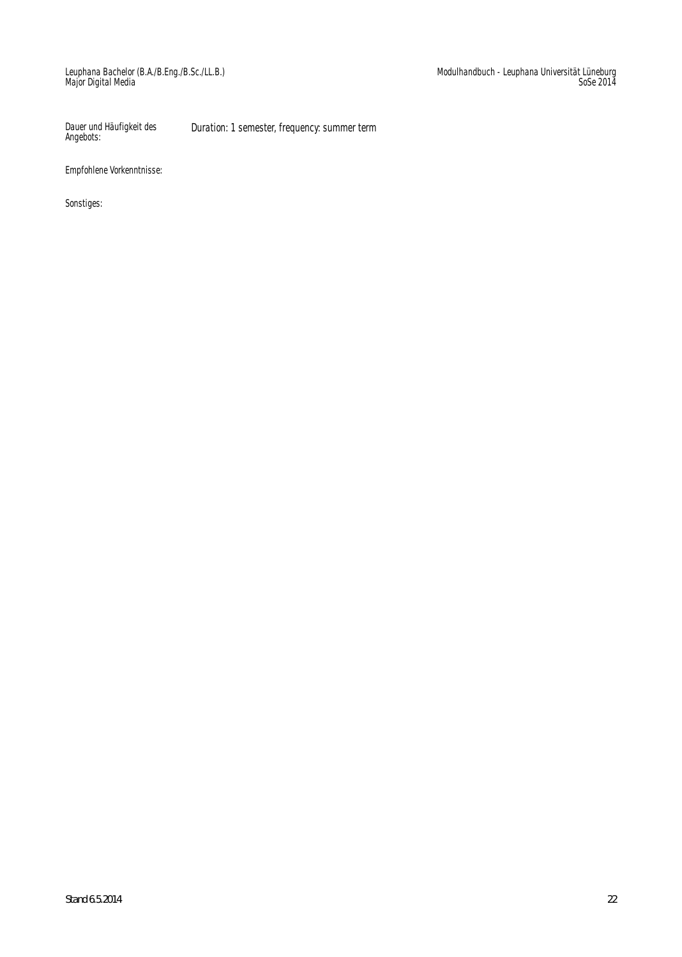Dauer und Häufigkeit des Angebots: Duration: 1 semester, frequency: summer term

Empfohlene Vorkenntnisse: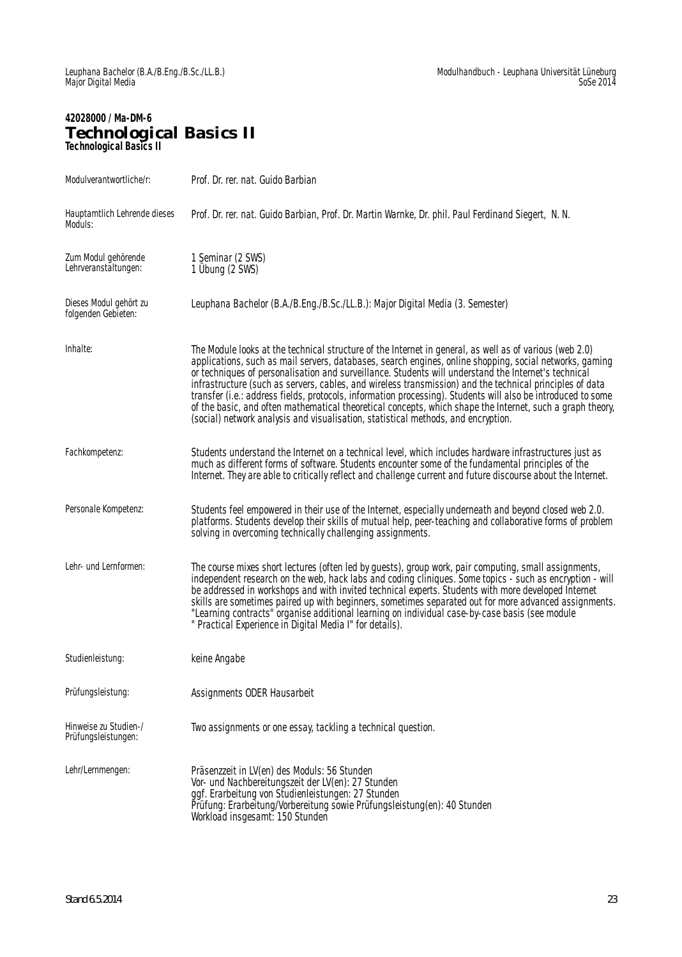# **42028000 / Ma-DM-6 Technological Basics II Technological Basics II**

| Modulverantwortliche/r:                       | Prof. Dr. rer. nat. Guido Barbian                                                                                                                                                                                                                                                                                                                                                                                                                                                                                                                                                                                                                                                                                                                        |  |
|-----------------------------------------------|----------------------------------------------------------------------------------------------------------------------------------------------------------------------------------------------------------------------------------------------------------------------------------------------------------------------------------------------------------------------------------------------------------------------------------------------------------------------------------------------------------------------------------------------------------------------------------------------------------------------------------------------------------------------------------------------------------------------------------------------------------|--|
| Hauptamtlich Lehrende dieses<br>Moduls:       | Prof. Dr. rer. nat. Guido Barbian, Prof. Dr. Martin Warnke, Dr. phil. Paul Ferdinand Siegert, N. N.                                                                                                                                                                                                                                                                                                                                                                                                                                                                                                                                                                                                                                                      |  |
| Zum Modul gehörende<br>Lehrveranstältungen:   | 1 Seminar (2 SWS)<br>1 Übung (2 SWS)                                                                                                                                                                                                                                                                                                                                                                                                                                                                                                                                                                                                                                                                                                                     |  |
| Dieses Modul gehört zu<br>folgenden Gebieten: | Leuphana Bachelor (B.A./B.Eng./B.Sc./LL.B.): Major Digital Media (3. Semester)                                                                                                                                                                                                                                                                                                                                                                                                                                                                                                                                                                                                                                                                           |  |
| Inhalte:                                      | The Module looks at the technical structure of the Internet in general, as well as of various (web 2.0)<br>applications, such as mail servers, databases, search engines, online shopping, social networks, gaming<br>or techniques of personalisation and surveillance. Students will understand the Internet's technical<br>infrastructure (such as servers, cables, and wireless transmission) and the technical principles of data<br>transfer (i.e.: address fields, protocols, information processing). Students will also be introduced to some<br>of the basic, and often mathematical theoretical concepts, which shape the Internet, such a graph theory,<br>(social) network analysis and visualisation, statistical methods, and encryption. |  |
| Fachkompetenz:                                | Students understand the Internet on a technical level, which includes hardware infrastructures just as<br>much as different forms of software. Students encounter some of the fundamental principles of the<br>Internet. They are able to critically reflect and challenge current and future discourse about the Internet.                                                                                                                                                                                                                                                                                                                                                                                                                              |  |
| Personale Kompetenz:                          | Students feel empowered in their use of the Internet, especially underneath and beyond closed web 2.0.<br>platforms. Students develop their skills of mutual help, peer-teaching and collaborative forms of problem<br>solving in overcoming technically challenging assignments.                                                                                                                                                                                                                                                                                                                                                                                                                                                                        |  |
| Lehr- und Lernformen:                         | The course mixes short lectures (often led by guests), group work, pair computing, small assignments,<br>independent research on the web, hack labs and coding cliniques. Some topics - such as encryption - will<br>be addressed in workshops and with invited technical experts. Students with more developed Internet<br>skills are sometimes paired up with beginners, sometimes separated out for more advanced assignments.<br>"Learning contracts" organise additional learning on individual case-by-case basis (see module<br>" Practical Experience in Digital Media I" for details).                                                                                                                                                          |  |
| Studienleistung:                              | keine Angabe                                                                                                                                                                                                                                                                                                                                                                                                                                                                                                                                                                                                                                                                                                                                             |  |
| Prüfungsleistung:                             | Assignments ODER Hausarbeit                                                                                                                                                                                                                                                                                                                                                                                                                                                                                                                                                                                                                                                                                                                              |  |
| Hinweise zu Studien-/<br>Prüfungsleistungen:  | Two assignments or one essay, tackling a technical question.                                                                                                                                                                                                                                                                                                                                                                                                                                                                                                                                                                                                                                                                                             |  |
| Lehr/Lernmengen:                              | Präsenzzeit in LV(en) des Moduls: 56 Stunden<br>Vor- und Nachbereitungszeit der LV(en): 27 Stunden<br>ggf. Erarbeitung von Studienleistungen: 27 Stunden<br>Prüfung: Erarbeitung/Vorbereitung sowie Prüfungsleistung(en): 40 Stunden<br>Workload insgesamt: 150 Stunden                                                                                                                                                                                                                                                                                                                                                                                                                                                                                  |  |